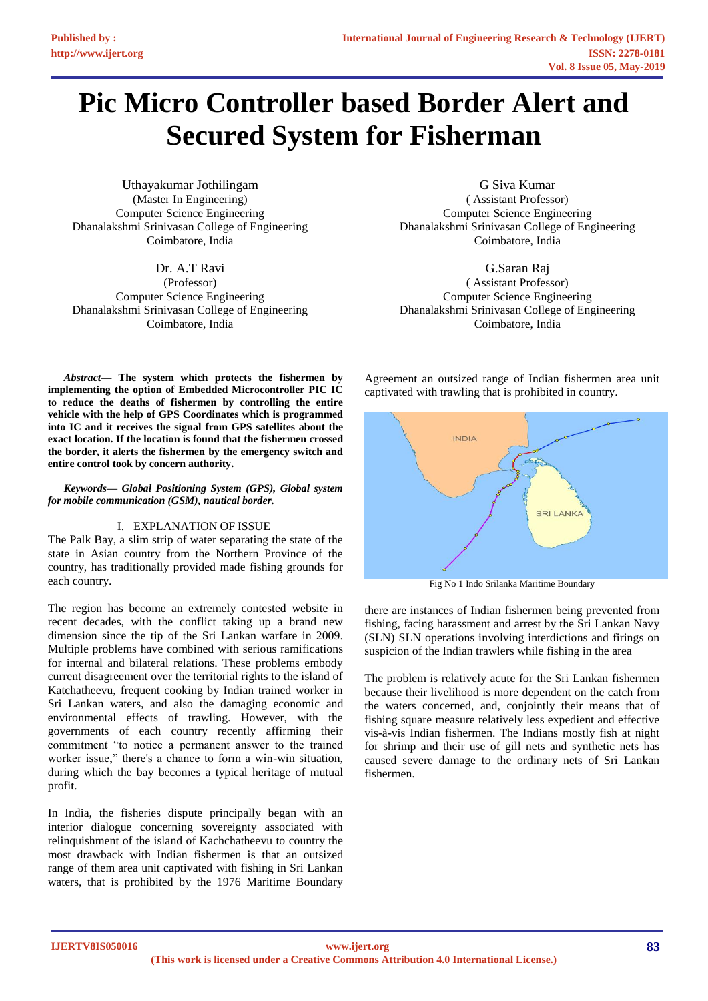# **Pic Micro Controller based Border Alert and Secured System for Fisherman**

Uthayakumar Jothilingam (Master In Engineering) Computer Science Engineering Dhanalakshmi Srinivasan College of Engineering Coimbatore, India

Dr. A.T Ravi (Professor) Computer Science Engineering Dhanalakshmi Srinivasan College of Engineering Coimbatore, India

G Siva Kumar ( Assistant Professor) Computer Science Engineering Dhanalakshmi Srinivasan College of Engineering Coimbatore, India

G.Saran Raj ( Assistant Professor) Computer Science Engineering Dhanalakshmi Srinivasan College of Engineering Coimbatore, India

*Abstract***— The system which protects the fishermen by implementing the option of Embedded Microcontroller PIC IC to reduce the deaths of fishermen by controlling the entire vehicle with the help of GPS Coordinates which is programmed into IC and it receives the signal from GPS satellites about the exact location. If the location is found that the fishermen crossed the border, it alerts the fishermen by the emergency switch and entire control took by concern authority.**

*Keywords— Global Positioning System (GPS), Global system for mobile communication (GSM), nautical border.*

#### I. EXPLANATION OF ISSUE

The Palk Bay, a slim strip of water separating the state of the state in Asian country from the Northern Province of the country, has traditionally provided made fishing grounds for each country.

The region has become an extremely contested website in recent decades, with the conflict taking up a brand new dimension since the tip of the Sri Lankan warfare in 2009. Multiple problems have combined with serious ramifications for internal and bilateral relations. These problems embody current disagreement over the territorial rights to the island of Katchatheevu, frequent cooking by Indian trained worker in Sri Lankan waters, and also the damaging economic and environmental effects of trawling. However, with the governments of each country recently affirming their commitment "to notice a permanent answer to the trained worker issue," there's a chance to form a win-win situation, during which the bay becomes a typical heritage of mutual profit.

In India, the fisheries dispute principally began with an interior dialogue concerning sovereignty associated with relinquishment of the island of Kachchatheevu to country the most drawback with Indian fishermen is that an outsized range of them area unit captivated with fishing in Sri Lankan waters, that is prohibited by the 1976 Maritime Boundary

Agreement an outsized range of Indian fishermen area unit captivated with trawling that is prohibited in country.



Fig No 1 Indo Srilanka Maritime Boundary

there are instances of Indian fishermen being prevented from fishing, facing harassment and arrest by the Sri Lankan Navy (SLN) SLN operations involving interdictions and firings on suspicion of the Indian trawlers while fishing in the area

The problem is relatively acute for the Sri Lankan fishermen because their livelihood is more dependent on the catch from the waters concerned, and, conjointly their means that of fishing square measure relatively less expedient and effective vis-à-vis Indian fishermen. The Indians mostly fish at night for shrimp and their use of gill nets and synthetic nets has caused severe damage to the ordinary nets of Sri Lankan fishermen.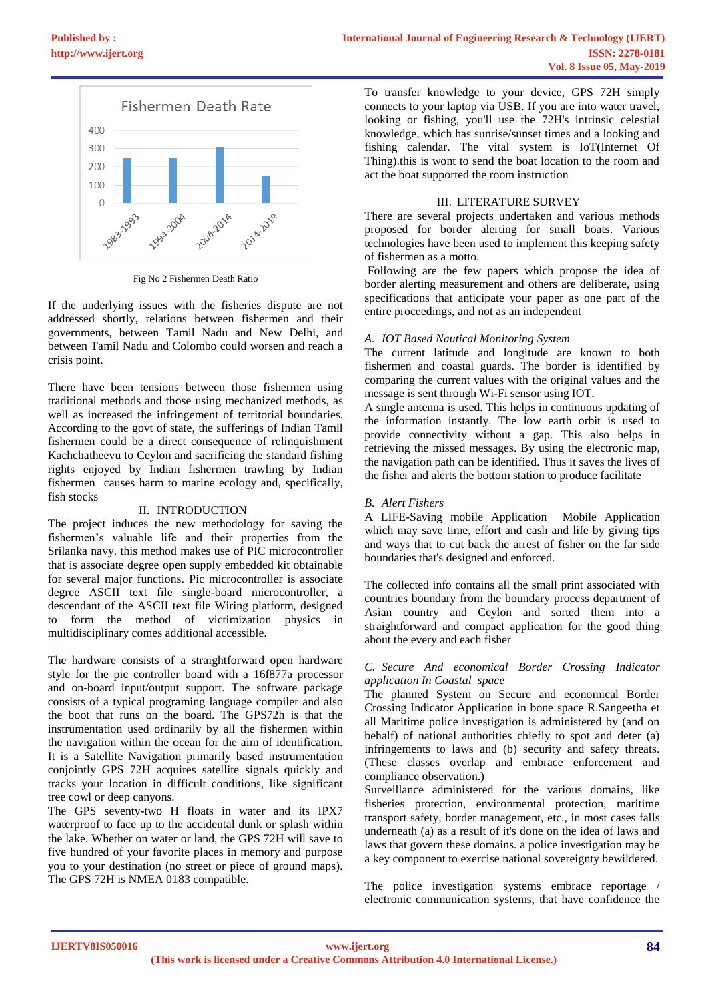

Fig No 2 Fishermen Death Ratio

If the underlying issues with the fisheries dispute are not addressed shortly, relations between fishermen and their governments, between Tamil Nadu and New Delhi, and between Tamil Nadu and Colombo could worsen and reach a crisis point.

There have been tensions between those fishermen using traditional methods and those using mechanized methods, as well as increased the infringement of territorial boundaries. According to the govt of state, the sufferings of Indian Tamil fishermen could be a direct consequence of relinquishment Kachchatheevu to Ceylon and sacrificing the standard fishing rights enjoyed by Indian fishermen trawling by Indian fishermen causes harm to marine ecology and, specifically, fish stocks

# II. INTRODUCTION

The project induces the new methodology for saving the fishermen's valuable life and their properties from the Srilanka navy. this method makes use of PIC microcontroller that is associate degree open supply embedded kit obtainable for several major functions. Pic microcontroller is associate degree ASCII text file single-board microcontroller, a descendant of the ASCII text file Wiring platform, designed to form the method of victimization physics in multidisciplinary comes additional accessible.

The hardware consists of a straightforward open hardware style for the pic controller board with a 16f877a processor and on-board input/output support. The software package consists of a typical programing language compiler and also the boot that runs on the board. The GPS72h is that the instrumentation used ordinarily by all the fishermen within the navigation within the ocean for the aim of identification. It is a Satellite Navigation primarily based instrumentation conjointly GPS 72H acquires satellite signals quickly and tracks your location in difficult conditions, like significant tree cowl or deep canyons.

The GPS seventy-two H floats in water and its IPX7 waterproof to face up to the accidental dunk or splash within the lake. Whether on water or land, the GPS 72H will save to five hundred of your favorite places in memory and purpose you to your destination (no street or piece of ground maps). The GPS 72H is NMEA 0183 compatible.

To transfer knowledge to your device, GPS 72H simply connects to your laptop via USB. If you are into water travel, looking or fishing, you'll use the 72H's intrinsic celestial knowledge, which has sunrise/sunset times and a looking and fishing calendar. The vital system is IoT(Internet Of Thing).this is wont to send the boat location to the room and act the boat supported the room instruction

## III. LITERATURE SURVEY

There are several projects undertaken and various methods proposed for border alerting for small boats. Various technologies have been used to implement this keeping safety of fishermen as a motto.

Following are the few papers which propose the idea of border alerting measurement and others are deliberate, using specifications that anticipate your paper as one part of the entire proceedings, and not as an independent

# *A. IOT Based Nautical Monitoring System*

The current latitude and longitude are known to both fishermen and coastal guards. The border is identified by comparing the current values with the original values and the message is sent through Wi-Fi sensor using IOT.

A single antenna is used. This helps in continuous updating of the information instantly. The low earth orbit is used to provide connectivity without a gap. This also helps in retrieving the missed messages. By using the electronic map, the navigation path can be identified. Thus it saves the lives of the fisher and alerts the bottom station to produce facilitate

# *B. Alert Fishers*

A LIFE-Saving mobile Application Mobile Application which may save time, effort and cash and life by giving tips and ways that to cut back the arrest of fisher on the far side boundaries that's designed and enforced.

The collected info contains all the small print associated with countries boundary from the boundary process department of Asian country and Ceylon and sorted them into a straightforward and compact application for the good thing about the every and each fisher

# *C. Secure And economical Border Crossing Indicator application In Coastal space*

The planned System on Secure and economical Border Crossing Indicator Application in bone space R.Sangeetha et all Maritime police investigation is administered by (and on behalf) of national authorities chiefly to spot and deter (a) infringements to laws and (b) security and safety threats. (These classes overlap and embrace enforcement and compliance observation.)

Surveillance administered for the various domains, like fisheries protection, environmental protection, maritime transport safety, border management, etc., in most cases falls underneath (a) as a result of it's done on the idea of laws and laws that govern these domains. a police investigation may be a key component to exercise national sovereignty bewildered.

The police investigation systems embrace reportage / electronic communication systems, that have confidence the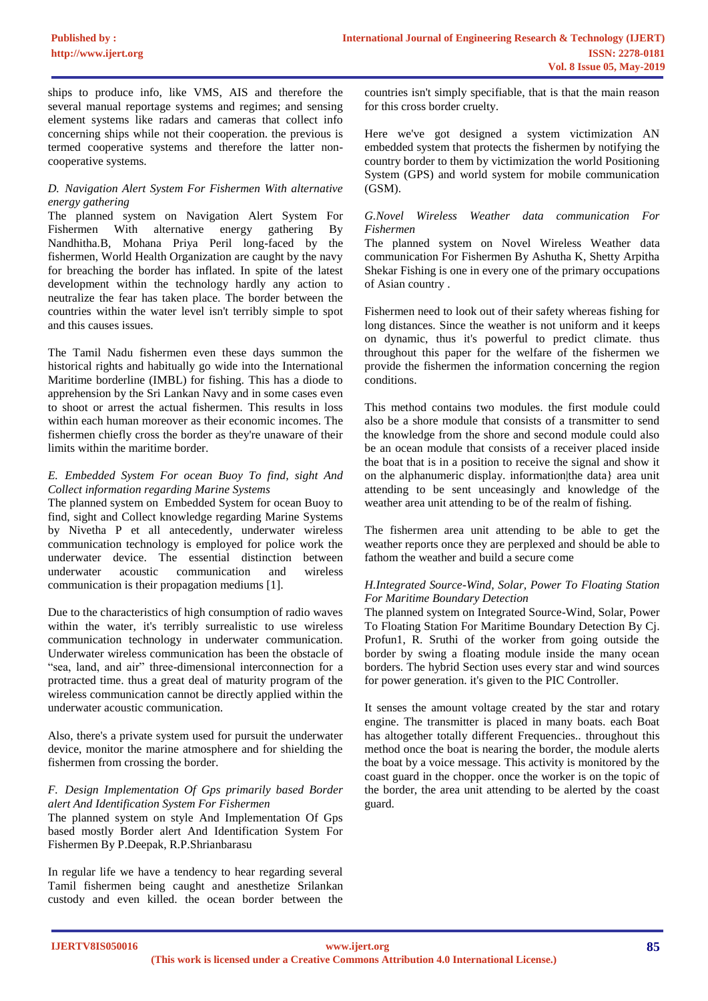ships to produce info, like VMS, AIS and therefore the several manual reportage systems and regimes; and sensing element systems like radars and cameras that collect info concerning ships while not their cooperation. the previous is termed cooperative systems and therefore the latter noncooperative systems.

## *D. Navigation Alert System For Fishermen With alternative energy gathering*

The planned system on Navigation Alert System For Fishermen With alternative energy gathering By Nandhitha.B, Mohana Priya Peril long-faced by the fishermen, World Health Organization are caught by the navy for breaching the border has inflated. In spite of the latest development within the technology hardly any action to neutralize the fear has taken place. The border between the countries within the water level isn't terribly simple to spot and this causes issues.

The Tamil Nadu fishermen even these days summon the historical rights and habitually go wide into the International Maritime borderline (IMBL) for fishing. This has a diode to apprehension by the Sri Lankan Navy and in some cases even to shoot or arrest the actual fishermen. This results in loss within each human moreover as their economic incomes. The fishermen chiefly cross the border as they're unaware of their limits within the maritime border.

#### *E. Embedded System For ocean Buoy To find, sight And Collect information regarding Marine Systems*

The planned system on Embedded System for ocean Buoy to find, sight and Collect knowledge regarding Marine Systems by Nivetha P et all antecedently, underwater wireless communication technology is employed for police work the underwater device. The essential distinction between underwater acoustic communication and wireless communication is their propagation mediums [1].

Due to the characteristics of high consumption of radio waves within the water, it's terribly surrealistic to use wireless communication technology in underwater communication. Underwater wireless communication has been the obstacle of "sea, land, and air" three-dimensional interconnection for a protracted time. thus a great deal of maturity program of the wireless communication cannot be directly applied within the underwater acoustic communication.

Also, there's a private system used for pursuit the underwater device, monitor the marine atmosphere and for shielding the fishermen from crossing the border.

#### *F. Design Implementation Of Gps primarily based Border alert And Identification System For Fishermen*

The planned system on style And Implementation Of Gps based mostly Border alert And Identification System For Fishermen By P.Deepak, R.P.Shrianbarasu

In regular life we have a tendency to hear regarding several Tamil fishermen being caught and anesthetize Srilankan custody and even killed. the ocean border between the

countries isn't simply specifiable, that is that the main reason for this cross border cruelty.

Here we've got designed a system victimization AN embedded system that protects the fishermen by notifying the country border to them by victimization the world Positioning System (GPS) and world system for mobile communication (GSM).

#### *G.Novel Wireless Weather data communication For Fishermen*

The planned system on Novel Wireless Weather data communication For Fishermen By Ashutha K, Shetty Arpitha Shekar Fishing is one in every one of the primary occupations of Asian country .

Fishermen need to look out of their safety whereas fishing for long distances. Since the weather is not uniform and it keeps on dynamic, thus it's powerful to predict climate. thus throughout this paper for the welfare of the fishermen we provide the fishermen the information concerning the region conditions.

This method contains two modules. the first module could also be a shore module that consists of a transmitter to send the knowledge from the shore and second module could also be an ocean module that consists of a receiver placed inside the boat that is in a position to receive the signal and show it on the alphanumeric display. information|the data} area unit attending to be sent unceasingly and knowledge of the weather area unit attending to be of the realm of fishing.

The fishermen area unit attending to be able to get the weather reports once they are perplexed and should be able to fathom the weather and build a secure come

#### *H.Integrated Source-Wind, Solar, Power To Floating Station For Maritime Boundary Detection*

The planned system on Integrated Source-Wind, Solar, Power To Floating Station For Maritime Boundary Detection By Cj. Profun1, R. Sruthi of the worker from going outside the border by swing a floating module inside the many ocean borders. The hybrid Section uses every star and wind sources for power generation. it's given to the PIC Controller.

It senses the amount voltage created by the star and rotary engine. The transmitter is placed in many boats. each Boat has altogether totally different Frequencies.. throughout this method once the boat is nearing the border, the module alerts the boat by a voice message. This activity is monitored by the coast guard in the chopper. once the worker is on the topic of the border, the area unit attending to be alerted by the coast guard.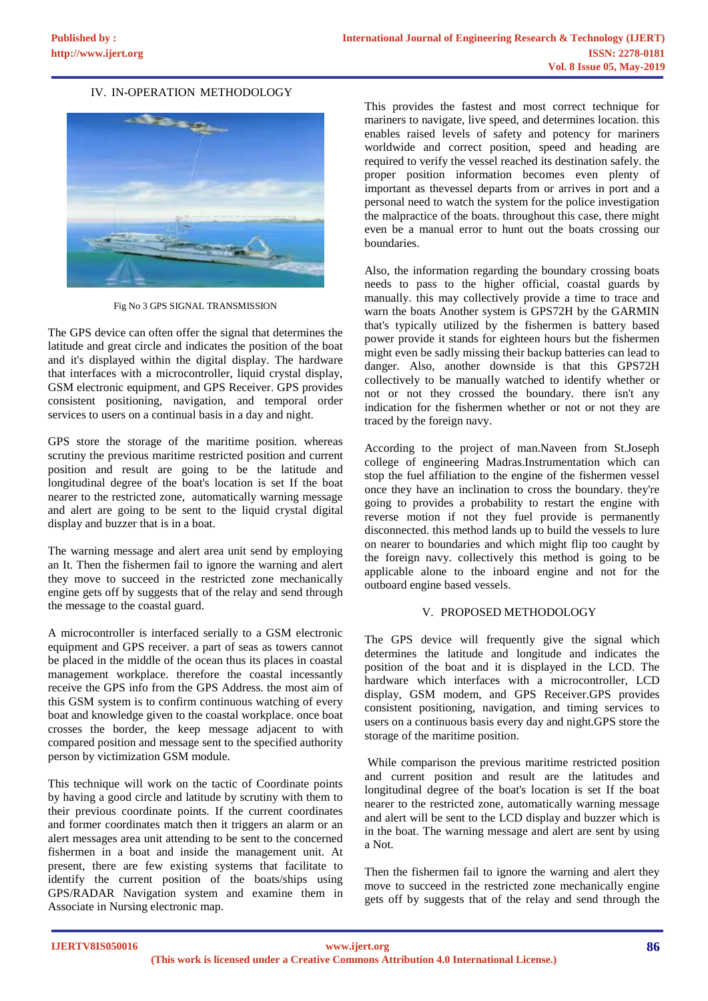## IV. IN-OPERATION METHODOLOGY



Fig No 3 GPS SIGNAL TRANSMISSION

The GPS device can often offer the signal that determines the latitude and great circle and indicates the position of the boat and it's displayed within the digital display. The hardware that interfaces with a microcontroller, liquid crystal display, GSM electronic equipment, and GPS Receiver. GPS provides consistent positioning, navigation, and temporal order services to users on a continual basis in a day and night.

GPS store the storage of the maritime position. whereas scrutiny the previous maritime restricted position and current position and result are going to be the latitude and longitudinal degree of the boat's location is set If the boat nearer to the restricted zone, automatically warning message and alert are going to be sent to the liquid crystal digital display and buzzer that is in a boat.

The warning message and alert area unit send by employing an It. Then the fishermen fail to ignore the warning and alert they move to succeed in the restricted zone mechanically engine gets off by suggests that of the relay and send through the message to the coastal guard.

A microcontroller is interfaced serially to a GSM electronic equipment and GPS receiver. a part of seas as towers cannot be placed in the middle of the ocean thus its places in coastal management workplace. therefore the coastal incessantly receive the GPS info from the GPS Address. the most aim of this GSM system is to confirm continuous watching of every boat and knowledge given to the coastal workplace. once boat crosses the border, the keep message adjacent to with compared position and message sent to the specified authority person by victimization GSM module.

This technique will work on the tactic of Coordinate points by having a good circle and latitude by scrutiny with them to their previous coordinate points. If the current coordinates and former coordinates match then it triggers an alarm or an alert messages area unit attending to be sent to the concerned fishermen in a boat and inside the management unit. At present, there are few existing systems that facilitate to identify the current position of the boats/ships using GPS/RADAR Navigation system and examine them in Associate in Nursing electronic map.

This provides the fastest and most correct technique for mariners to navigate, live speed, and determines location. this enables raised levels of safety and potency for mariners worldwide and correct position, speed and heading are required to verify the vessel reached its destination safely. the proper position information becomes even plenty of important as thevessel departs from or arrives in port and a personal need to watch the system for the police investigation the malpractice of the boats. throughout this case, there might even be a manual error to hunt out the boats crossing our boundaries.

Also, the information regarding the boundary crossing boats needs to pass to the higher official, coastal guards by manually. this may collectively provide a time to trace and warn the boats Another system is GPS72H by the GARMIN that's typically utilized by the fishermen is battery based power provide it stands for eighteen hours but the fishermen might even be sadly missing their backup batteries can lead to danger. Also, another downside is that this GPS72H collectively to be manually watched to identify whether or not or not they crossed the boundary. there isn't any indication for the fishermen whether or not or not they are traced by the foreign navy.

According to the project of man.Naveen from St.Joseph college of engineering Madras.Instrumentation which can stop the fuel affiliation to the engine of the fishermen vessel once they have an inclination to cross the boundary. they're going to provides a probability to restart the engine with reverse motion if not they fuel provide is permanently disconnected. this method lands up to build the vessels to lure on nearer to boundaries and which might flip too caught by the foreign navy. collectively this method is going to be applicable alone to the inboard engine and not for the outboard engine based vessels.

#### V. PROPOSED METHODOLOGY

The GPS device will frequently give the signal which determines the latitude and longitude and indicates the position of the boat and it is displayed in the LCD. The hardware which interfaces with a microcontroller, LCD display, GSM modem, and GPS Receiver.GPS provides consistent positioning, navigation, and timing services to users on a continuous basis every day and night.GPS store the storage of the maritime position.

While comparison the previous maritime restricted position and current position and result are the latitudes and longitudinal degree of the boat's location is set If the boat nearer to the restricted zone, automatically warning message and alert will be sent to the LCD display and buzzer which is in the boat. The warning message and alert are sent by using a Not.

Then the fishermen fail to ignore the warning and alert they move to succeed in the restricted zone mechanically engine gets off by suggests that of the relay and send through the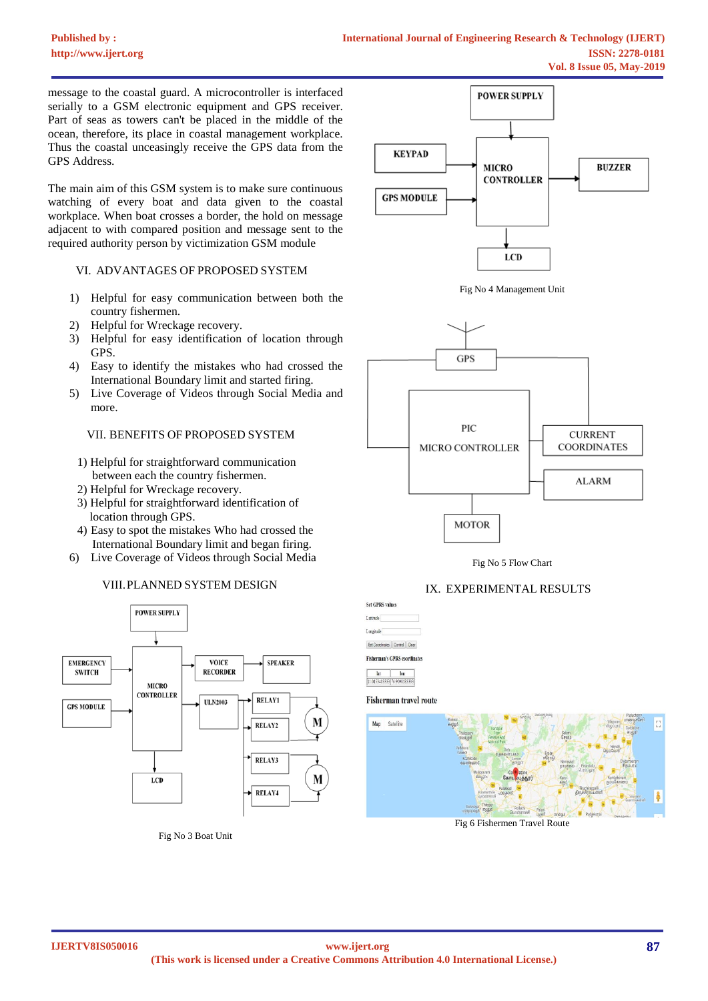message to the coastal guard. A microcontroller is interfaced serially to a GSM electronic equipment and GPS receiver. Part of seas as towers can't be placed in the middle of the ocean, therefore, its place in coastal management workplace. Thus the coastal unceasingly receive the GPS data from the GPS Address.

The main aim of this GSM system is to make sure continuous watching of every boat and data given to the coastal workplace. When boat crosses a border, the hold on message adjacent to with compared position and message sent to the required authority person by victimization GSM module

#### VI. ADVANTAGES OF PROPOSED SYSTEM

- 1) Helpful for easy communication between both the country fishermen.
- 2) Helpful for Wreckage recovery.
- 3) Helpful for easy identification of location through GPS.
- 4) Easy to identify the mistakes who had crossed the International Boundary limit and started firing.
- 5) Live Coverage of Videos through Social Media and more.

#### VII. BENEFITS OF PROPOSED SYSTEM

- 1) Helpful for straightforward communication between each the country fishermen.
- 2) Helpful for Wreckage recovery.
- 3) Helpful for straightforward identification of location through GPS.
- 4) Easy to spot the mistakes Who had crossed the International Boundary limit and began firing.
- 6) Live Coverage of Videos through Social Media





Fig No 3 Boat Unit



Fig No 5 Flow Chart

# IX. EXPERIMENTAL RESULTS

**MOTOR** 

| Lammde                                     |  |
|--------------------------------------------|--|
| Longitude                                  |  |
| Set Coordinates Control Clear              |  |
|                                            |  |
|                                            |  |
| <b>Fisherman's GPRS coordinates</b><br>lat |  |

Fisherman travel route



Fig 6 Fishermen Travel Route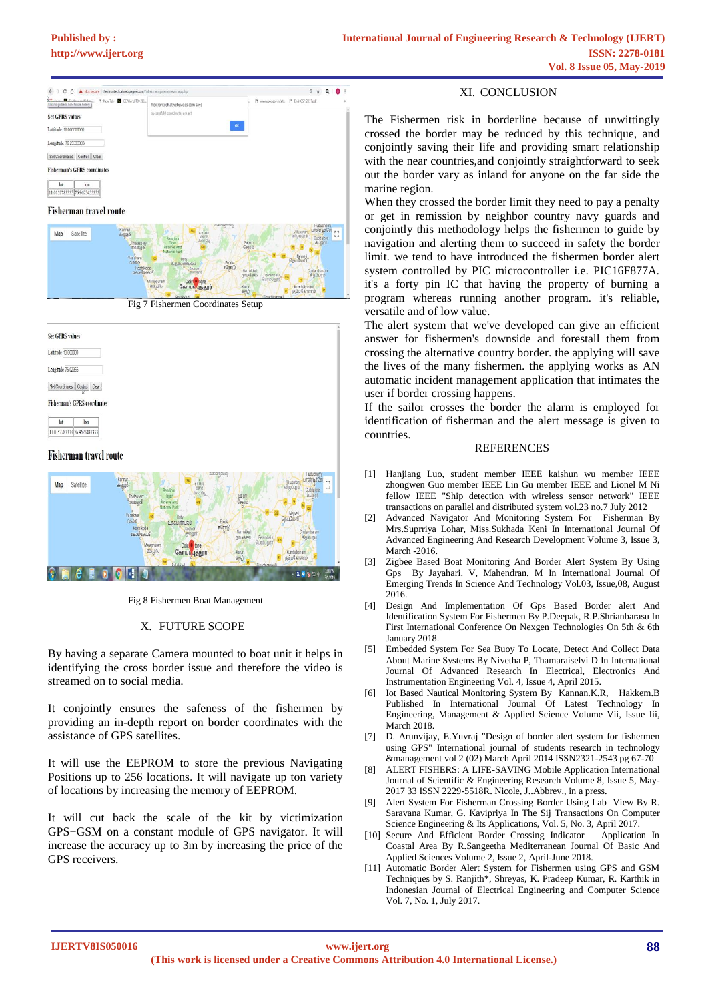**[Published by :](www.ijert.org)**



Fig 7 Fishermen Coordinates Setup



#### Fisherman travel route



Fig 8 Fishermen Boat Management

#### X. FUTURE SCOPE

By having a separate Camera mounted to boat unit it helps in identifying the cross border issue and therefore the video is streamed on to social media.

It conjointly ensures the safeness of the fishermen by providing an in-depth report on border coordinates with the assistance of GPS satellites.

It will use the EEPROM to store the previous Navigating Positions up to 256 locations. It will navigate up ton variety of locations by increasing the memory of EEPROM.

It will cut back the scale of the kit by victimization GPS+GSM on a constant module of GPS navigator. It will increase the accuracy up to 3m by increasing the price of the GPS receivers.

#### XI. CONCLUSION

The Fishermen risk in borderline because of unwittingly crossed the border may be reduced by this technique, and conjointly saving their life and providing smart relationship with the near countries,and conjointly straightforward to seek out the border vary as inland for anyone on the far side the marine region.

When they crossed the border limit they need to pay a penalty or get in remission by neighbor country navy guards and conjointly this methodology helps the fishermen to guide by navigation and alerting them to succeed in safety the border limit. we tend to have introduced the fishermen border alert system controlled by PIC microcontroller i.e. PIC16F877A. it's a forty pin IC that having the property of burning a program whereas running another program. it's reliable, versatile and of low value.

The alert system that we've developed can give an efficient answer for fishermen's downside and forestall them from crossing the alternative country border. the applying will save the lives of the many fishermen. the applying works as AN automatic incident management application that intimates the user if border crossing happens.

If the sailor crosses the border the alarm is employed for identification of fisherman and the alert message is given to countries.

#### **REFERENCES**

- [1] Hanjiang Luo, student member IEEE kaishun wu member IEEE zhongwen Guo member IEEE Lin Gu member IEEE and Lionel M Ni fellow IEEE "Ship detection with wireless sensor network" IEEE transactions on parallel and distributed system vol.23 no.7 July 2012
- [2] Advanced Navigator And Monitoring System For Fisherman By Mrs.Suprriya Lohar, Miss.Sukhada Keni In International Journal Of Advanced Engineering And Research Development Volume 3, Issue 3, March -2016.
- [3] Zigbee Based Boat Monitoring And Border Alert System By Using Gps By Jayahari. V, Mahendran. M In International Journal Of Emerging Trends In Science And Technology Vol.03, Issue,08, August 2016.
- [4] Design And Implementation Of Gps Based Border alert And Identification System For Fishermen By P.Deepak, R.P.Shrianbarasu In First International Conference On Nexgen Technologies On 5th & 6th January 2018.
- [5] Embedded System For Sea Buoy To Locate, Detect And Collect Data About Marine Systems By Nivetha P, Thamaraiselvi D In International Journal Of Advanced Research In Electrical, Electronics And Instrumentation Engineering Vol. 4, Issue 4, April 2015.
- [6] Iot Based Nautical Monitoring System By Kannan.K.R, Hakkem.B Published In International Journal Of Latest Technology In Engineering, Management & Applied Science Volume Vii, Issue Iii, March 2018.
- [7] D. Arunvijay, E.Yuvraj "Design of border alert system for fishermen using GPS" International journal of students research in technology &management vol 2 (02) March April 2014 ISSN2321-2543 pg 67-70
- [8] ALERT FISHERS: A LIFE-SAVING Mobile Application International Journal of Scientific & Engineering Research Volume 8, Issue 5, May-2017 33 ISSN 2229-5518R. Nicole, J..Abbrev., in a press.
- [9] Alert System For Fisherman Crossing Border Using Lab View By R. Saravana Kumar, G. Kavipriya In The Sij Transactions On Computer Science Engineering & Its Applications, Vol. 5, No. 3, April 2017.<br>Secure And Efficient Border Crossing Indicator Application In
- [10] Secure And Efficient Border Crossing Indicator Coastal Area By R.Sangeetha Mediterranean Journal Of Basic And Applied Sciences Volume 2, Issue 2, April-June 2018.
- [11] Automatic Border Alert System for Fishermen using GPS and GSM Techniques by S. Ranjith\*, Shreyas, K. Pradeep Kumar, R. Karthik in Indonesian Journal of Electrical Engineering and Computer Science Vol. 7, No. 1, July 2017.